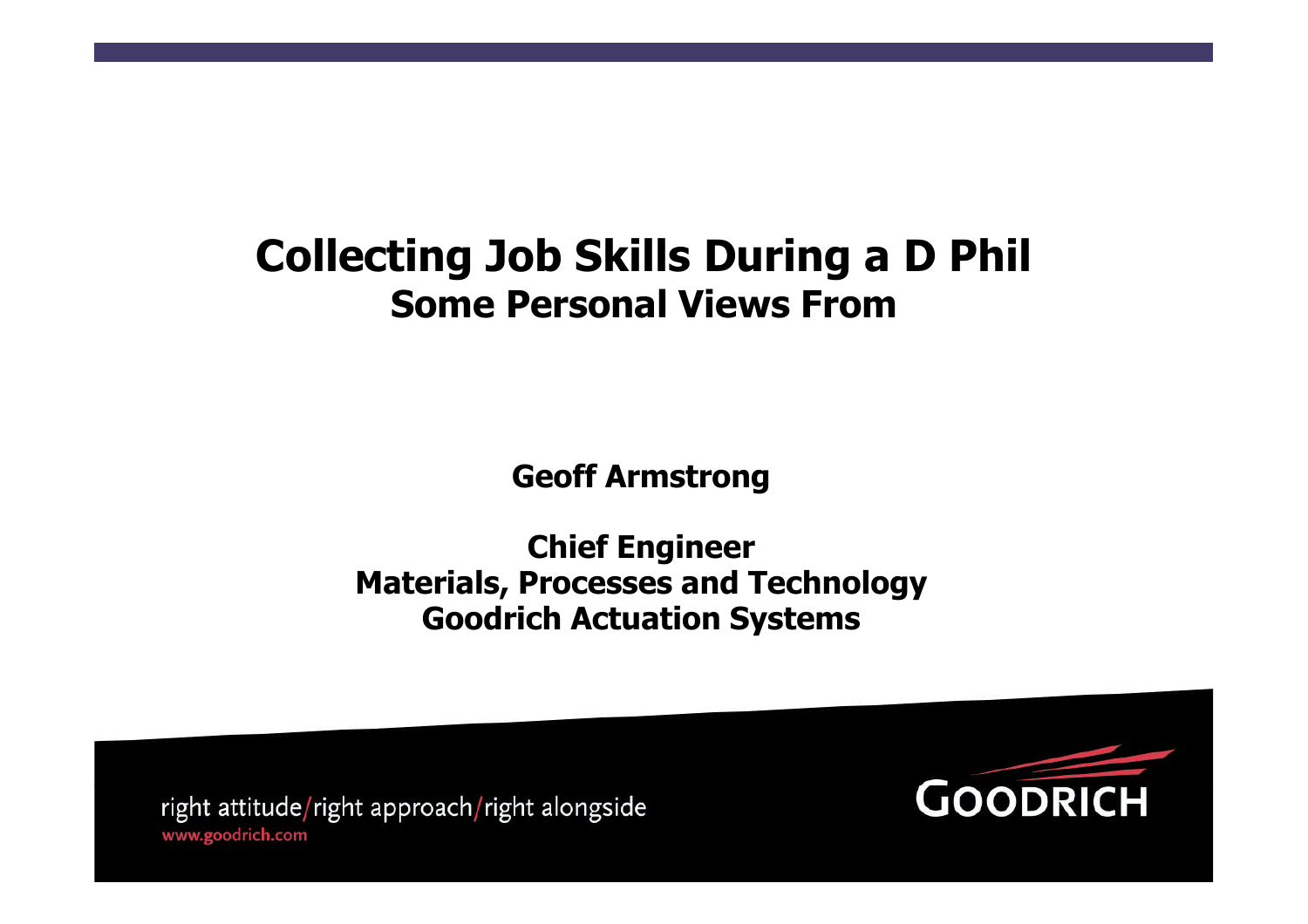# **Collecting Job Skills During a D Phil Some Personal Views From**

**Geoff Armstrong**

**Chief Engineer Materials, Processes and Technology Goodrich Actuation Systems**

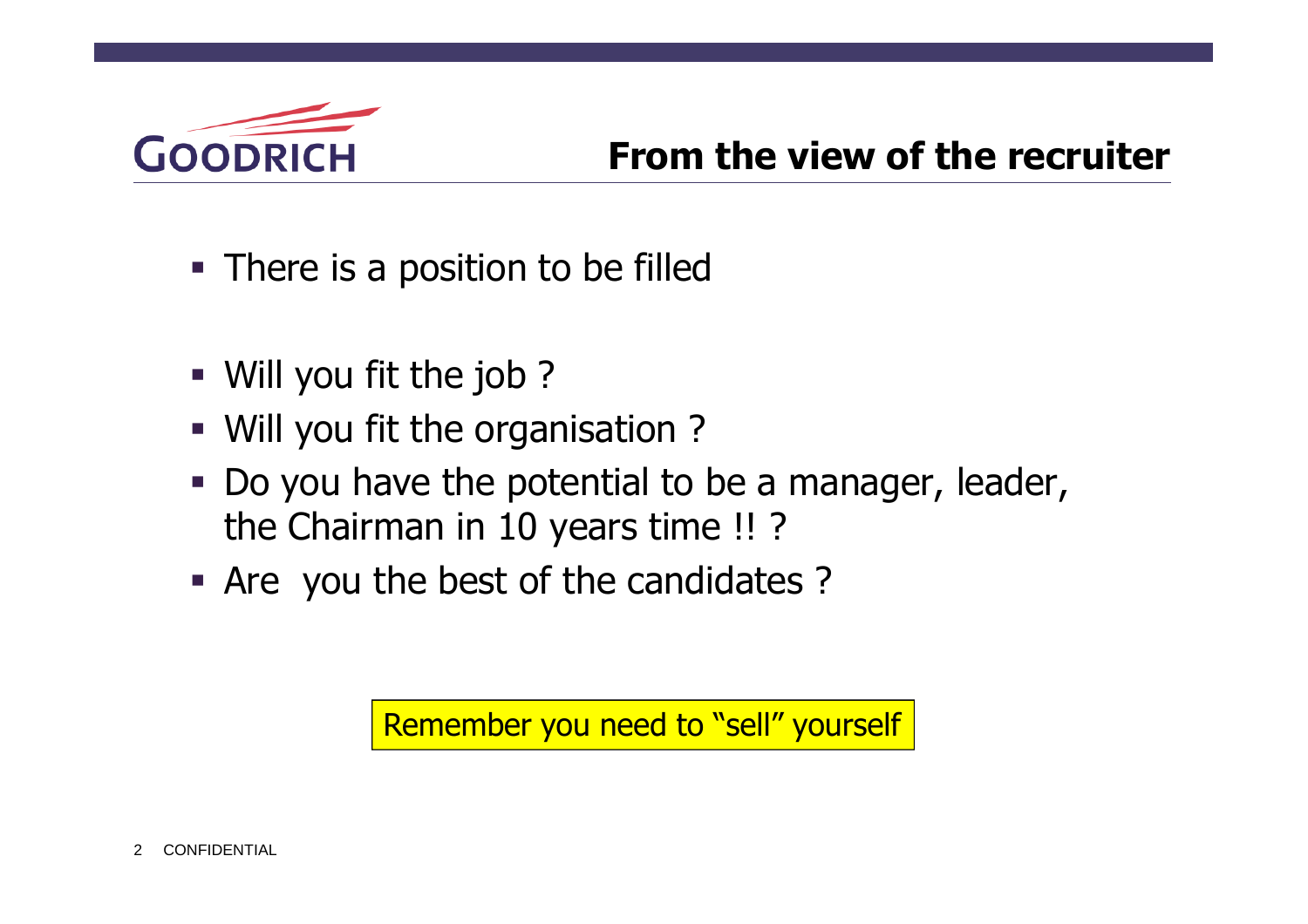

- There is a position to be filled
- Will you fit the job ?
- Will you fit the organisation ?
- Do you have the potential to be a manager, leader, the Chairman in 10 years time !! ?
- Are you the best of the candidates ?

Remember you need to "sell" yourself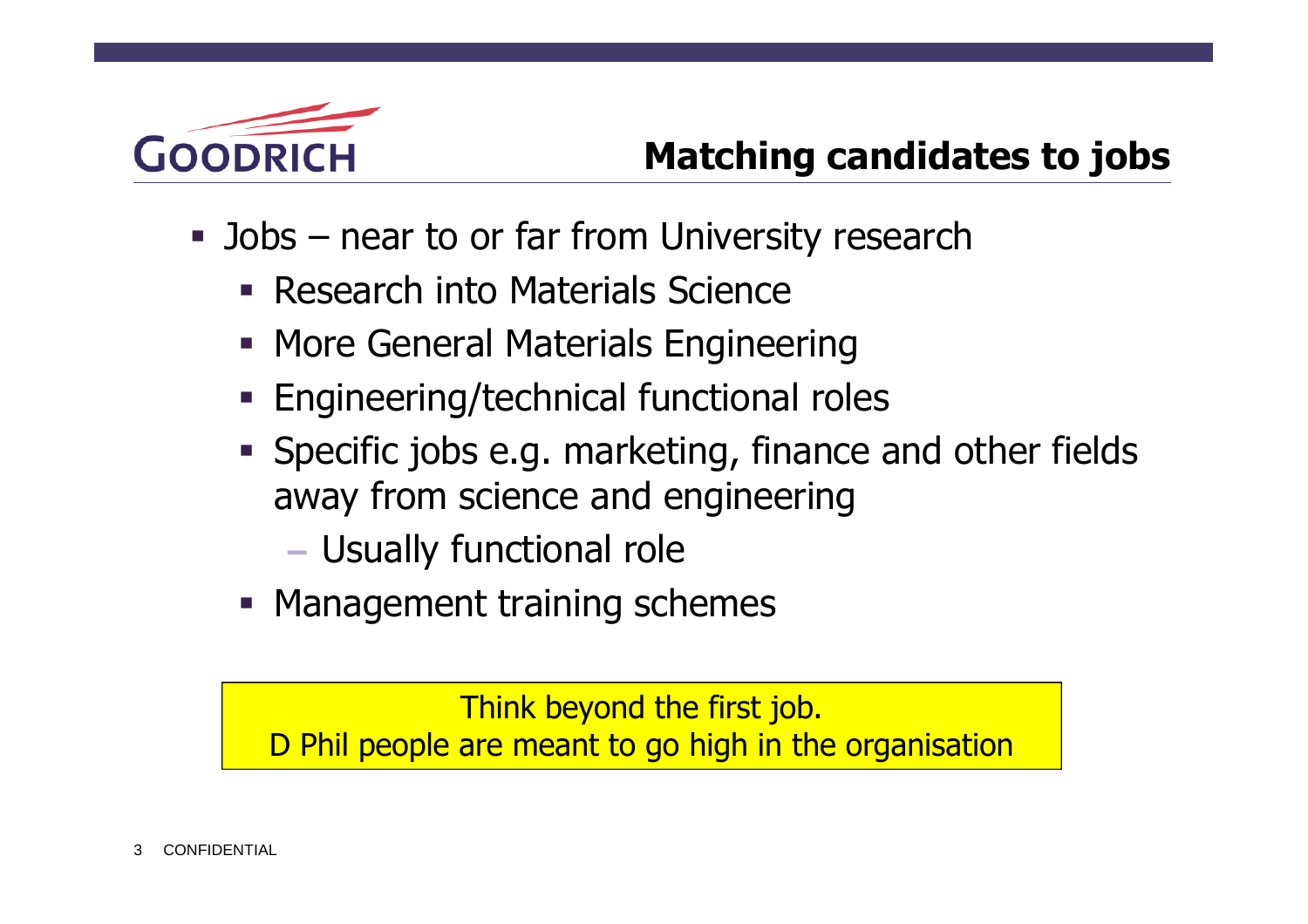

## **Matching candidates to jobs**

- **Jobs** near to or far from University research
	- **Research into Materials Science**
	- **More General Materials Engineering**
	- **Engineering/technical functional roles**
	- Specific jobs e.g. marketing, finance and other fields away from science and engineering
		- Usually functional role
	- **Management training schemes**

Think beyond the first job. D Phil people are meant to go high in the organisation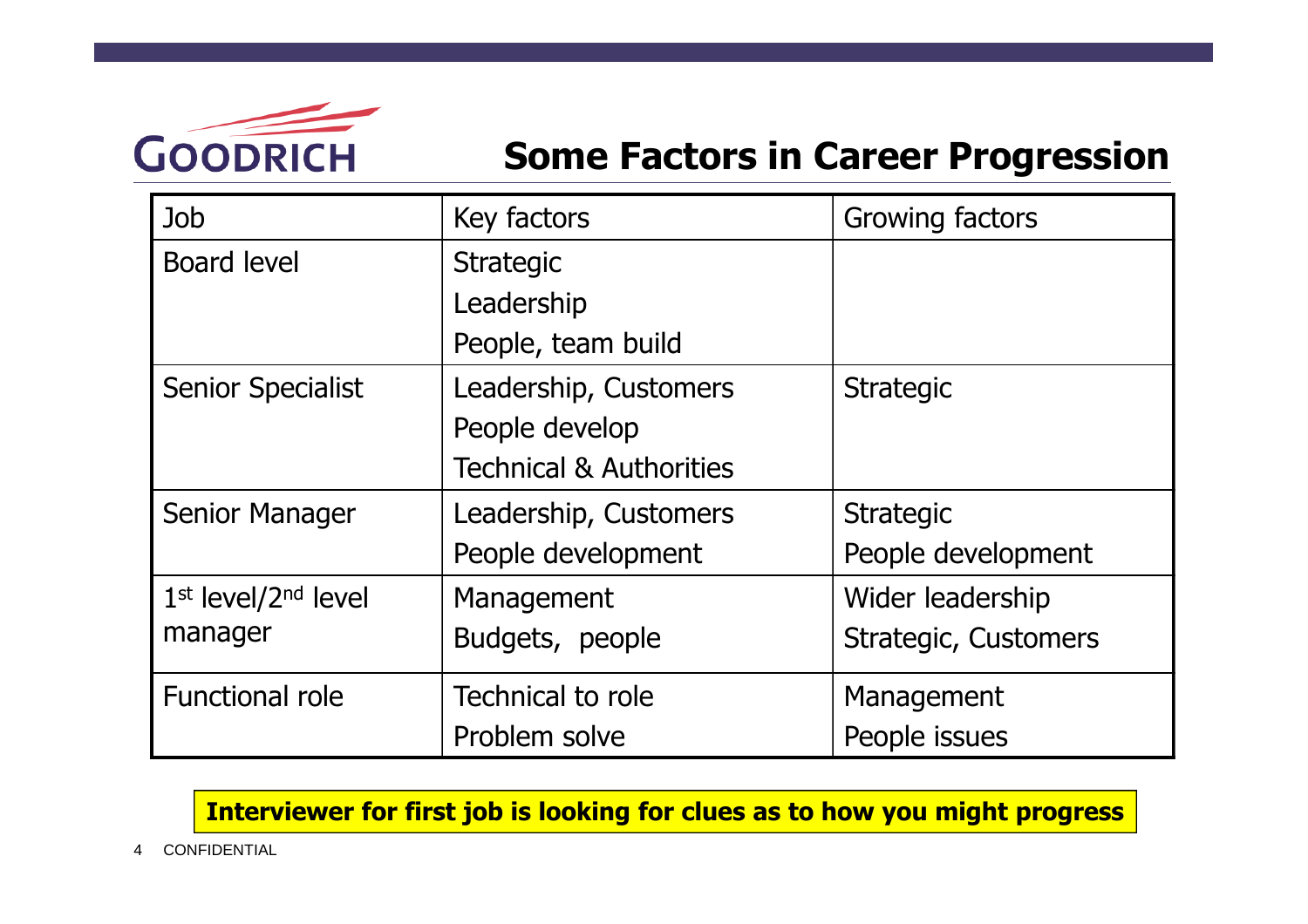

#### **Some Factors in Career Progression**

| Job                             | Key factors                        | Growing factors             |
|---------------------------------|------------------------------------|-----------------------------|
| <b>Board level</b>              | <b>Strategic</b>                   |                             |
|                                 | Leadership                         |                             |
|                                 | People, team build                 |                             |
| <b>Senior Specialist</b>        | Leadership, Customers              | <b>Strategic</b>            |
|                                 | People develop                     |                             |
|                                 | <b>Technical &amp; Authorities</b> |                             |
| <b>Senior Manager</b>           | Leadership, Customers              | <b>Strategic</b>            |
|                                 | People development                 | People development          |
| 1st level/2 <sup>nd</sup> level | Management                         | Wider leadership            |
| manager                         | Budgets, people                    | <b>Strategic, Customers</b> |
| <b>Functional role</b>          | Technical to role                  | Management                  |
|                                 | Problem solve                      | People issues               |

**Interviewer for first job is looking for clues as to how you might progress**

4 CONFIDENTIAL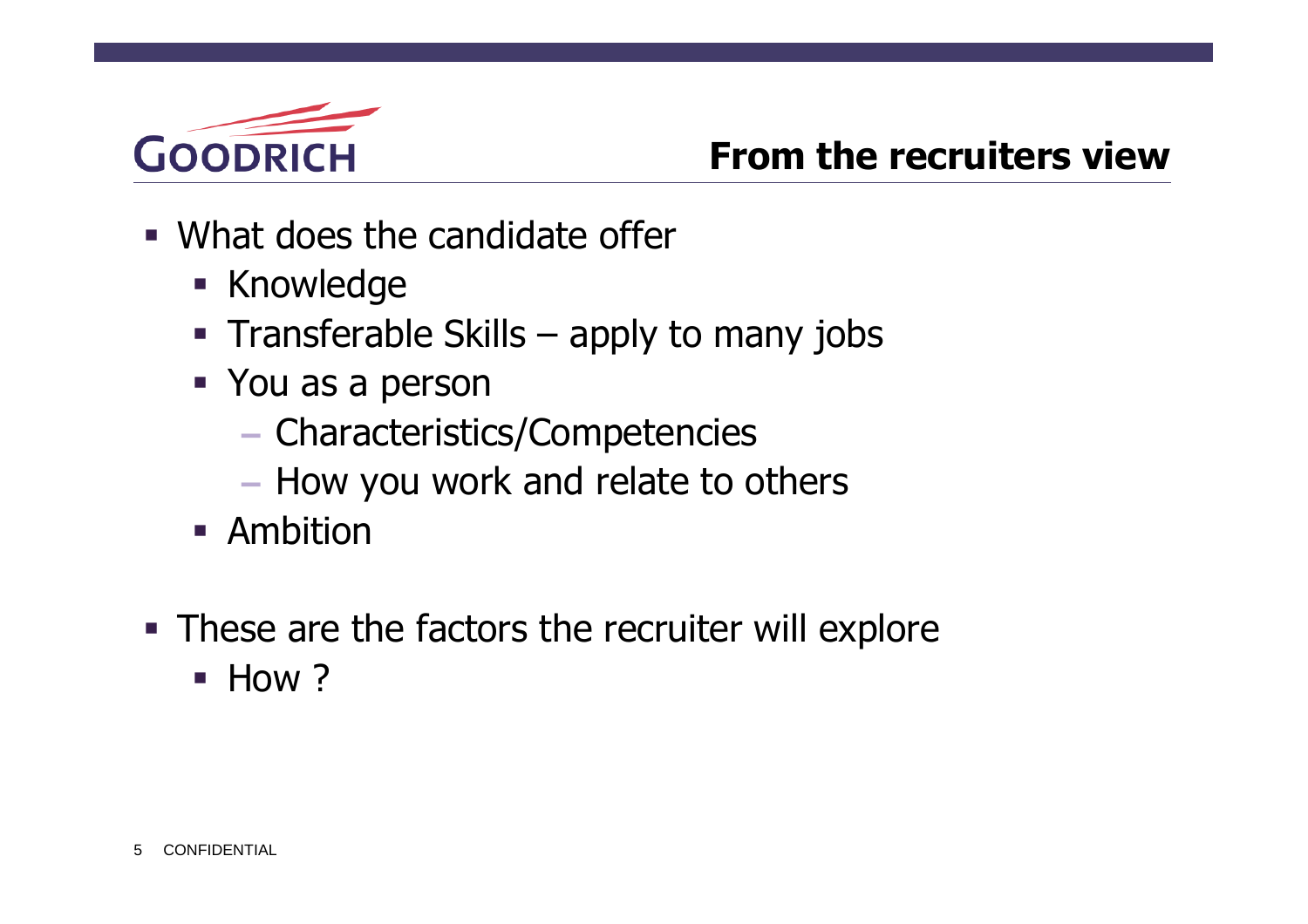

#### **From the recruiters view**

- What does the candidate offer
	- **Knowledge**
	- Transferable Skills  $-$  apply to many jobs
	- You as a person
		- Characteristics/Competencies
		- How you work and relate to others
	- **-** Ambition
- **These are the factors the recruiter will explore** 
	- $\blacksquare$  How ?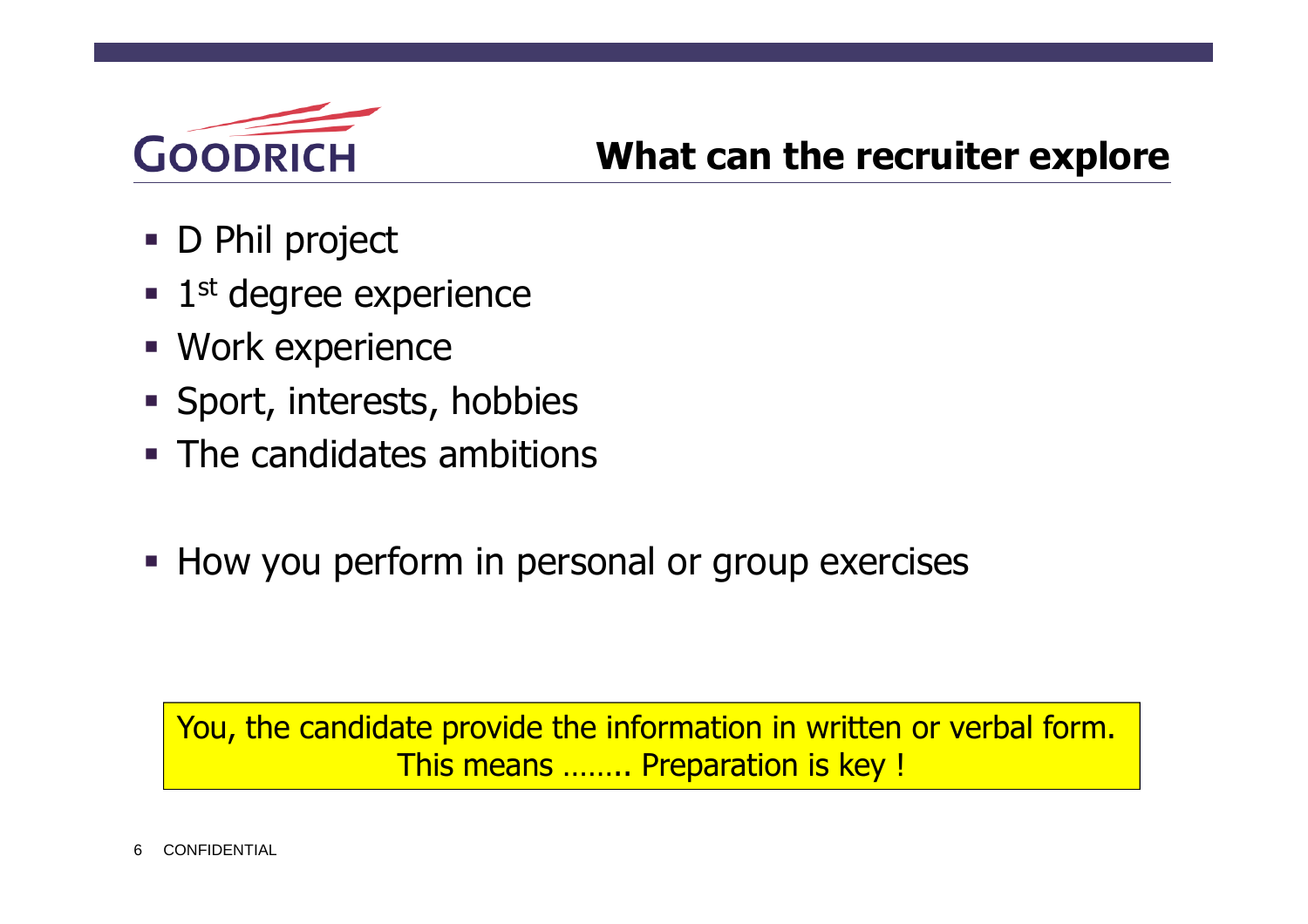

### **What can the recruiter explore**

- D Phil project
- 1<sup>st</sup> degree experience
- Work experience
- Sport, interests, hobbies
- **The candidates ambitions**
- **How you perform in personal or group exercises**

You, the candidate provide the information in written or verbal form. This means …….. Preparation is key !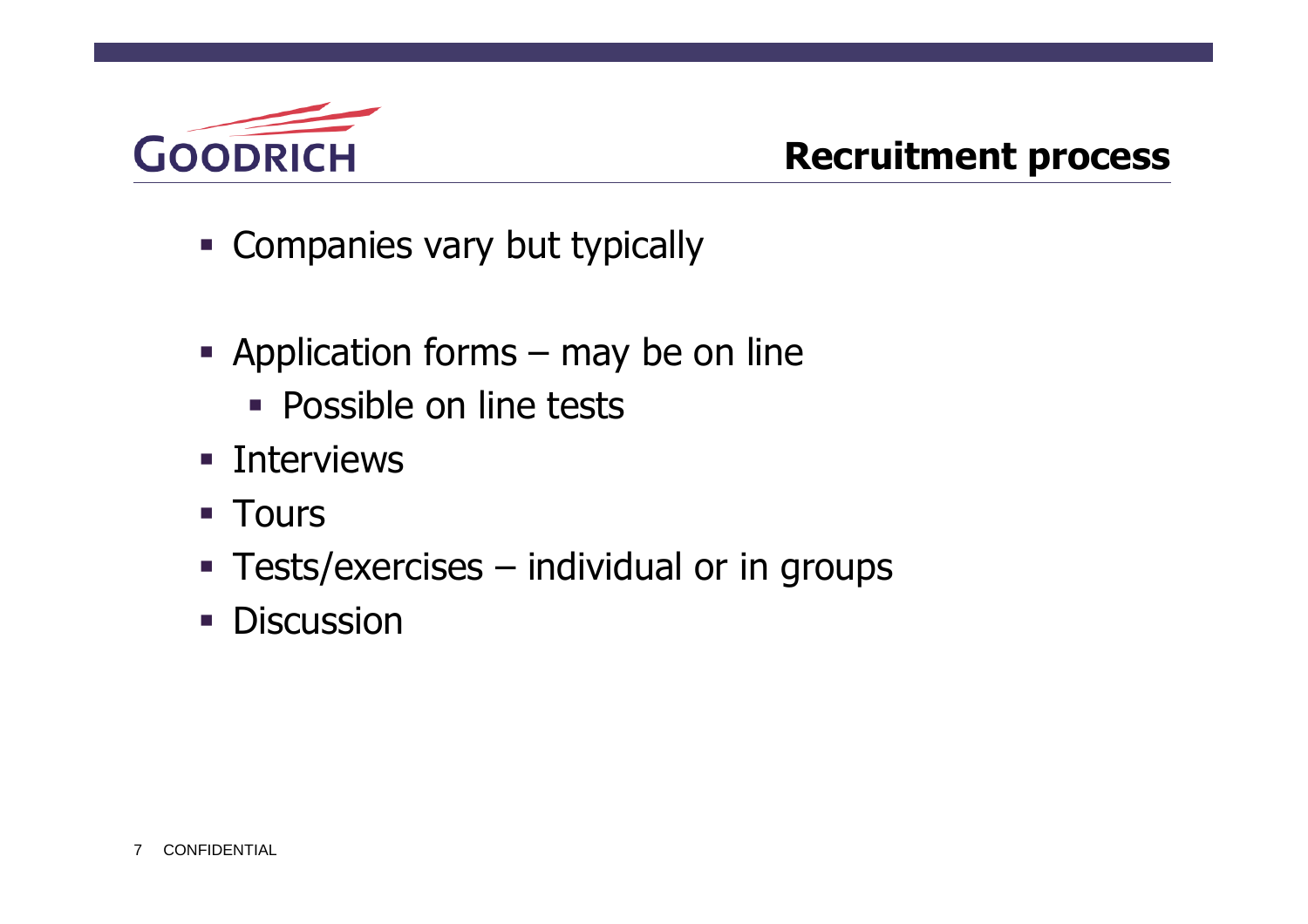

### **Recruitment process**

- **Example 1** Companies vary but typically
- Application forms may be on line
	- **Possible on line tests**
- **Interviews**
- **Tours**
- **Tests/exercises individual or in groups**
- **Discussion**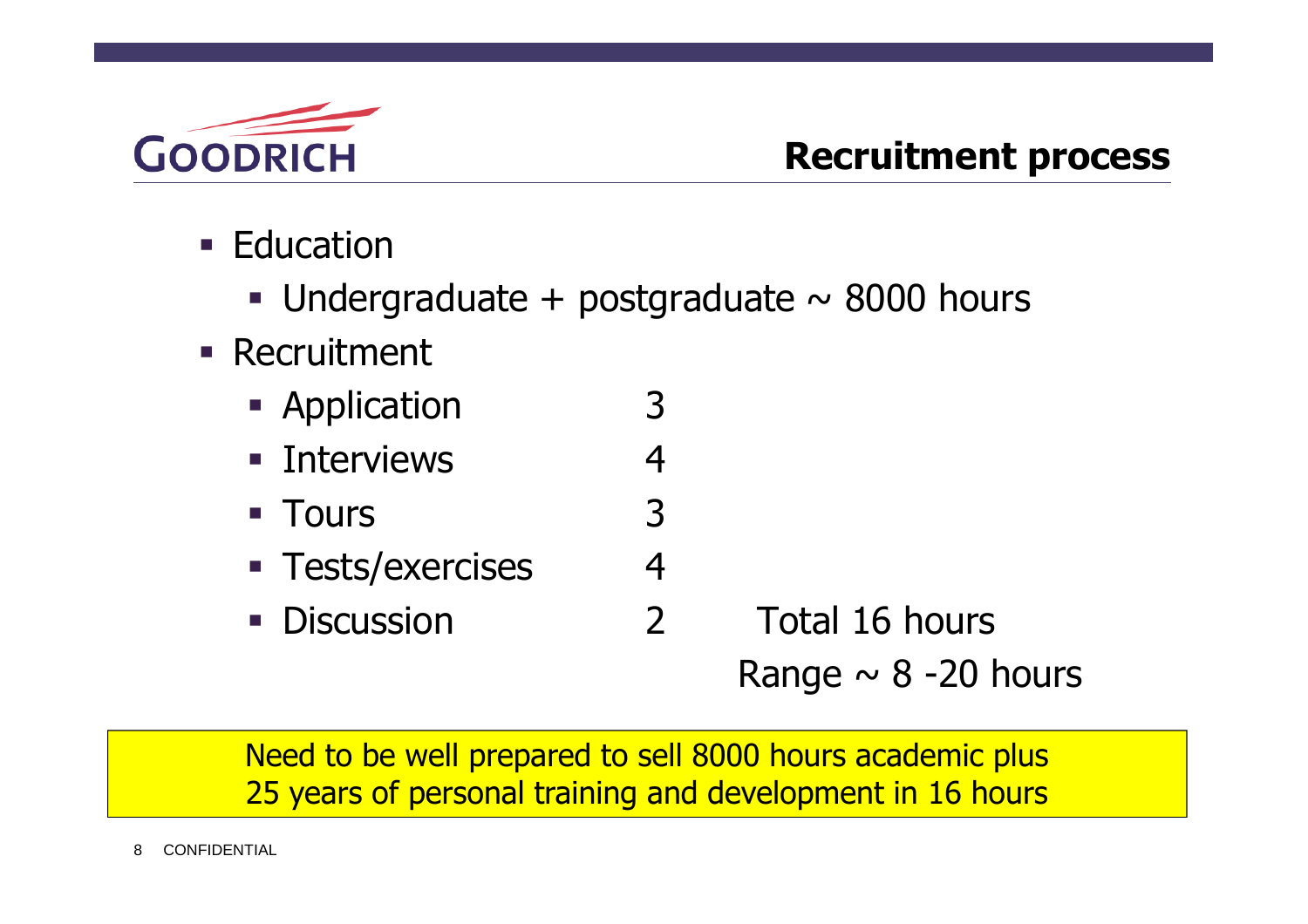

- **Education** 
	- Undergraduate + postgraduate  $\sim$  8000 hours
- **Recruitment** 
	- **Application** 3
	- **Interviews** 4
	- Tours 3
	- Tests/exercises 4
	- Discussion 2 Total 16 hours

Range  $\sim$  8 -20 hours

Need to be well prepared to sell 8000 hours academic plus 25 years of personal training and development in 16 hours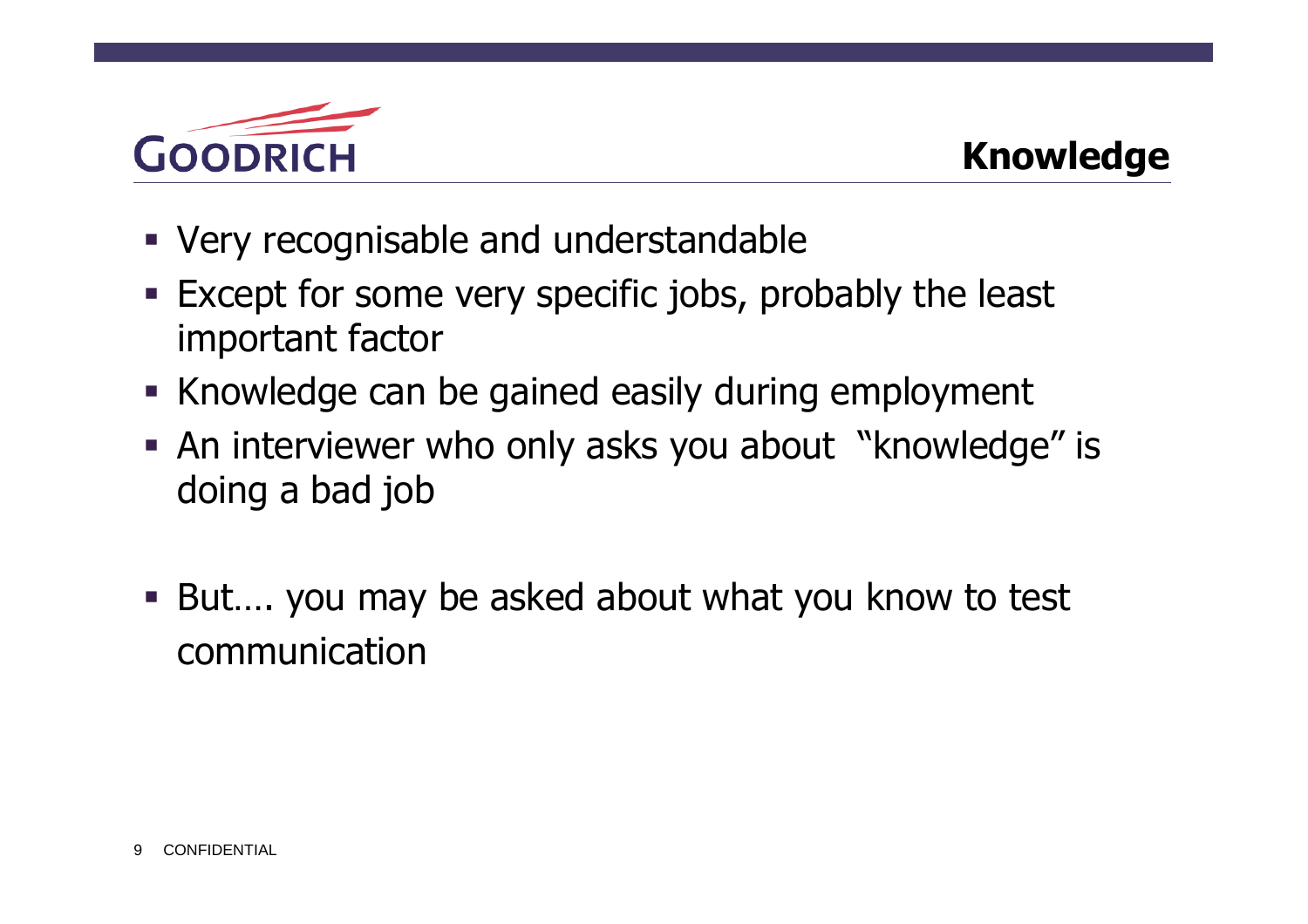

- Very recognisable and understandable
- Except for some very specific jobs, probably the least important factor
- Knowledge can be gained easily during employment
- An interviewer who only asks you about "knowledge" is doing a bad job
- But.... you may be asked about what you know to test communication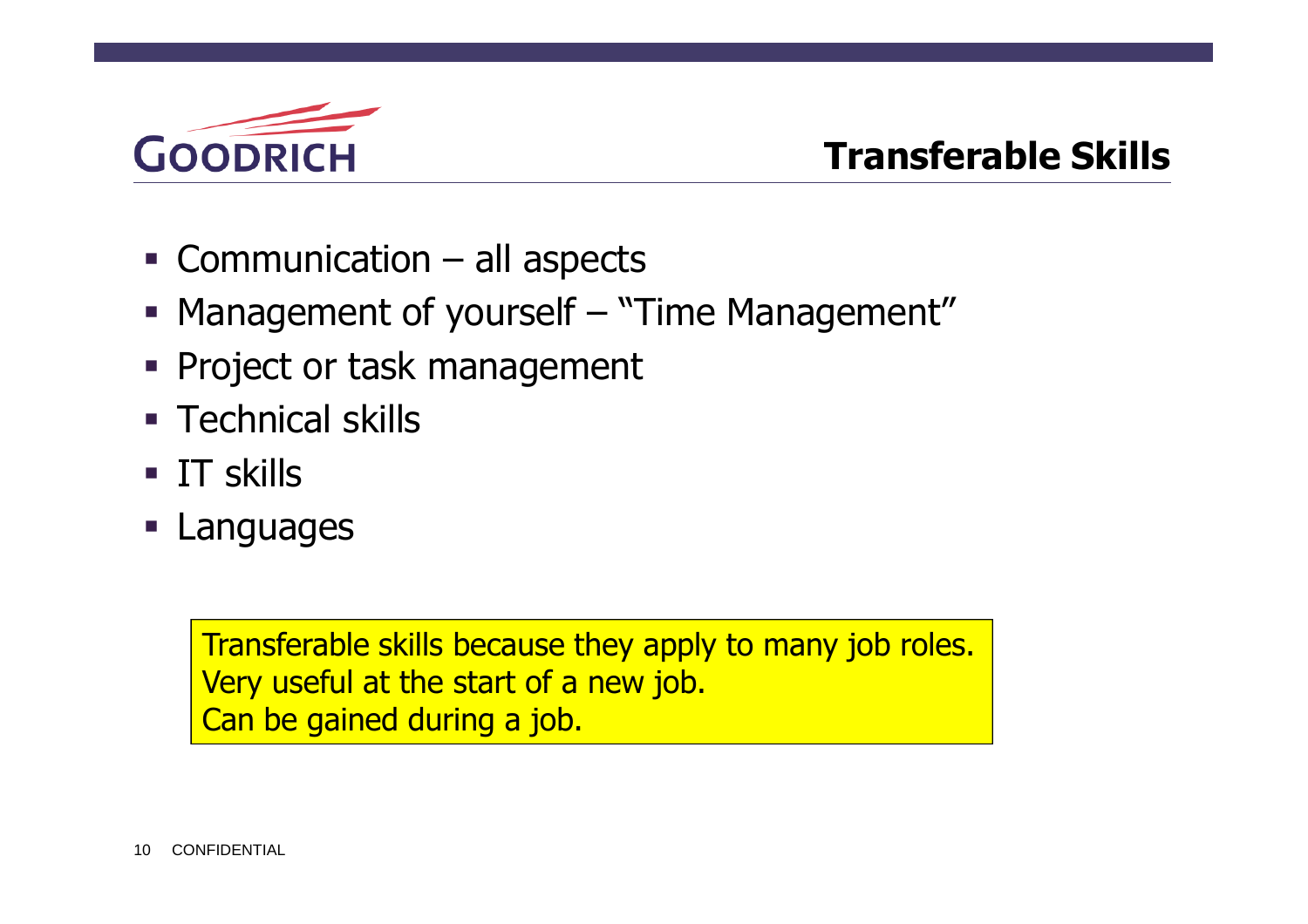

### **Transferable Skills**

- Communication all aspects
- Management of yourself "Time Management"
- **Project or task management**
- **Technical skills**
- **IT skills**
- **Languages**

Transferable skills because they apply to many job roles. Very useful at the start of a new job. Can be gained during a job.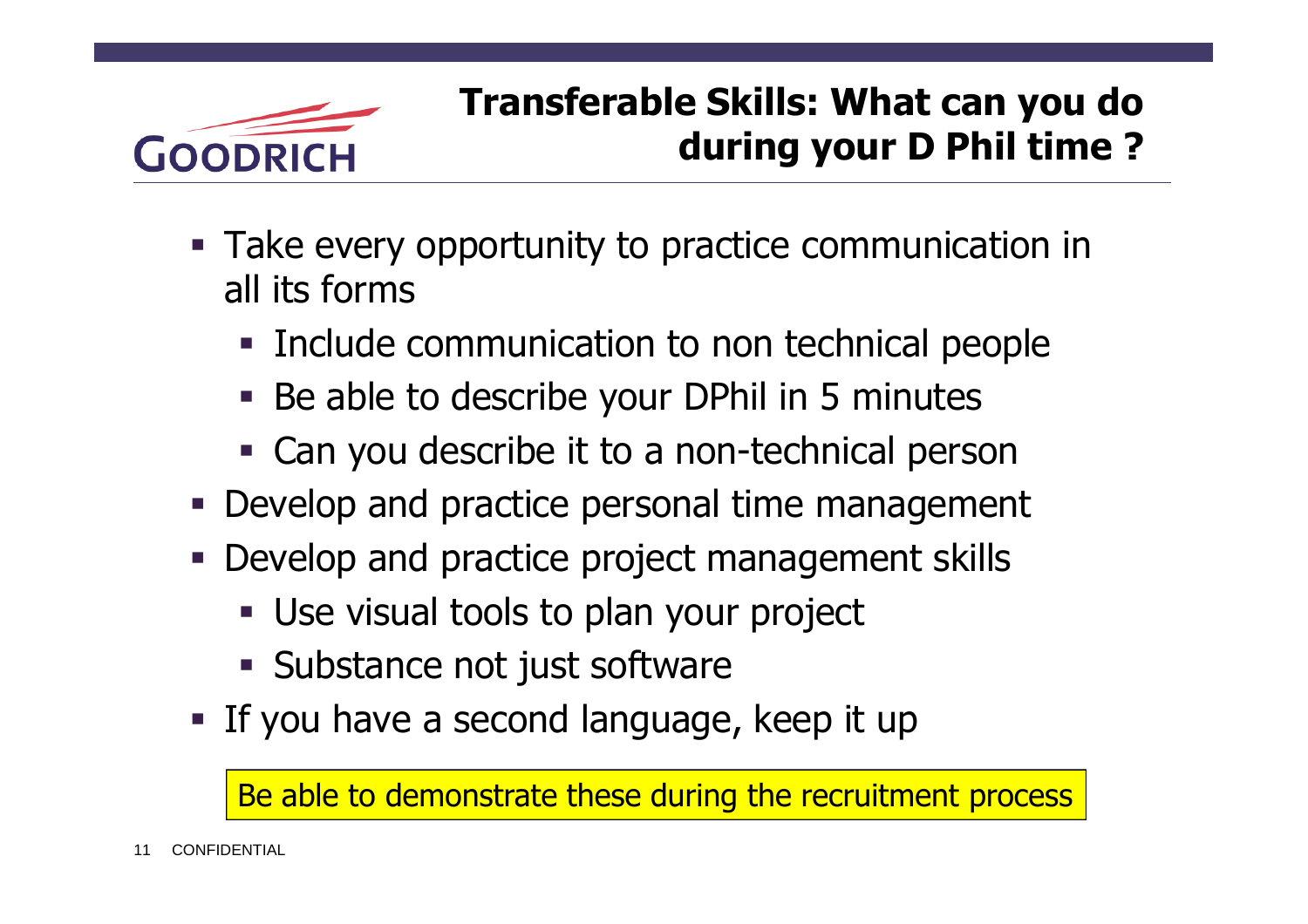

# **Transferable Skills: What can you do during your D Phil time ?**

- Take every opportunity to practice communication in all its forms
	- **Include communication to non technical people**
	- Be able to describe your DPhil in 5 minutes
	- Can you describe it to a non-technical person
- Develop and practice personal time management
- Develop and practice project management skills
	- Use visual tools to plan your project
	- **Substance not just software**
- If you have a second language, keep it up

Be able to demonstrate these during the recruitment process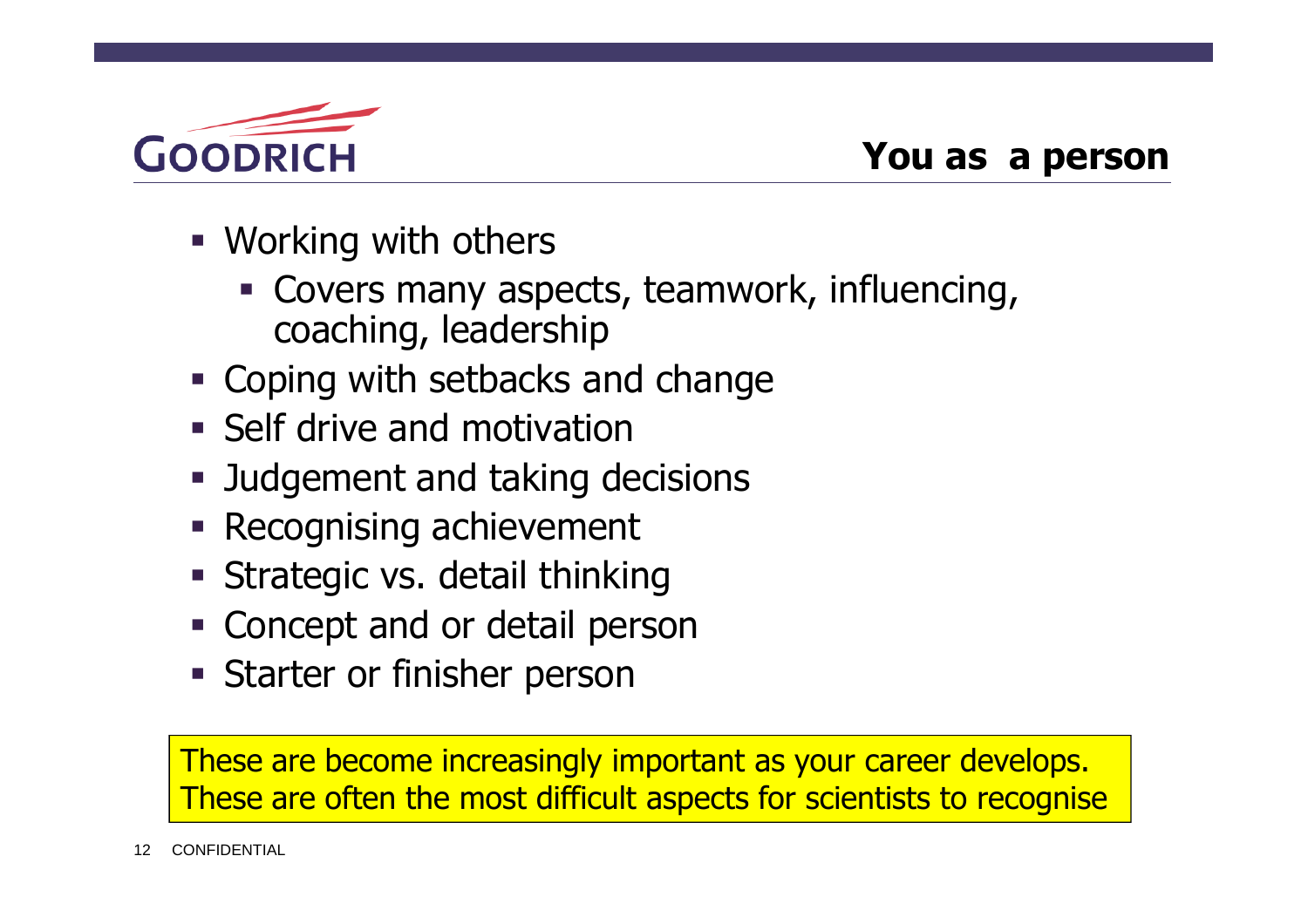

- Working with others
	- Covers many aspects, teamwork, influencing, coaching, leadership
- **Example 2 Coping with setbacks and change**
- **Self drive and motivation**
- **Judgement and taking decisions**
- **Recognising achievement**
- **Strategic vs. detail thinking**
- Concept and or detail person
- **Starter or finisher person**

These are become increasingly important as your career develops. These are often the most difficult aspects for scientists to recognise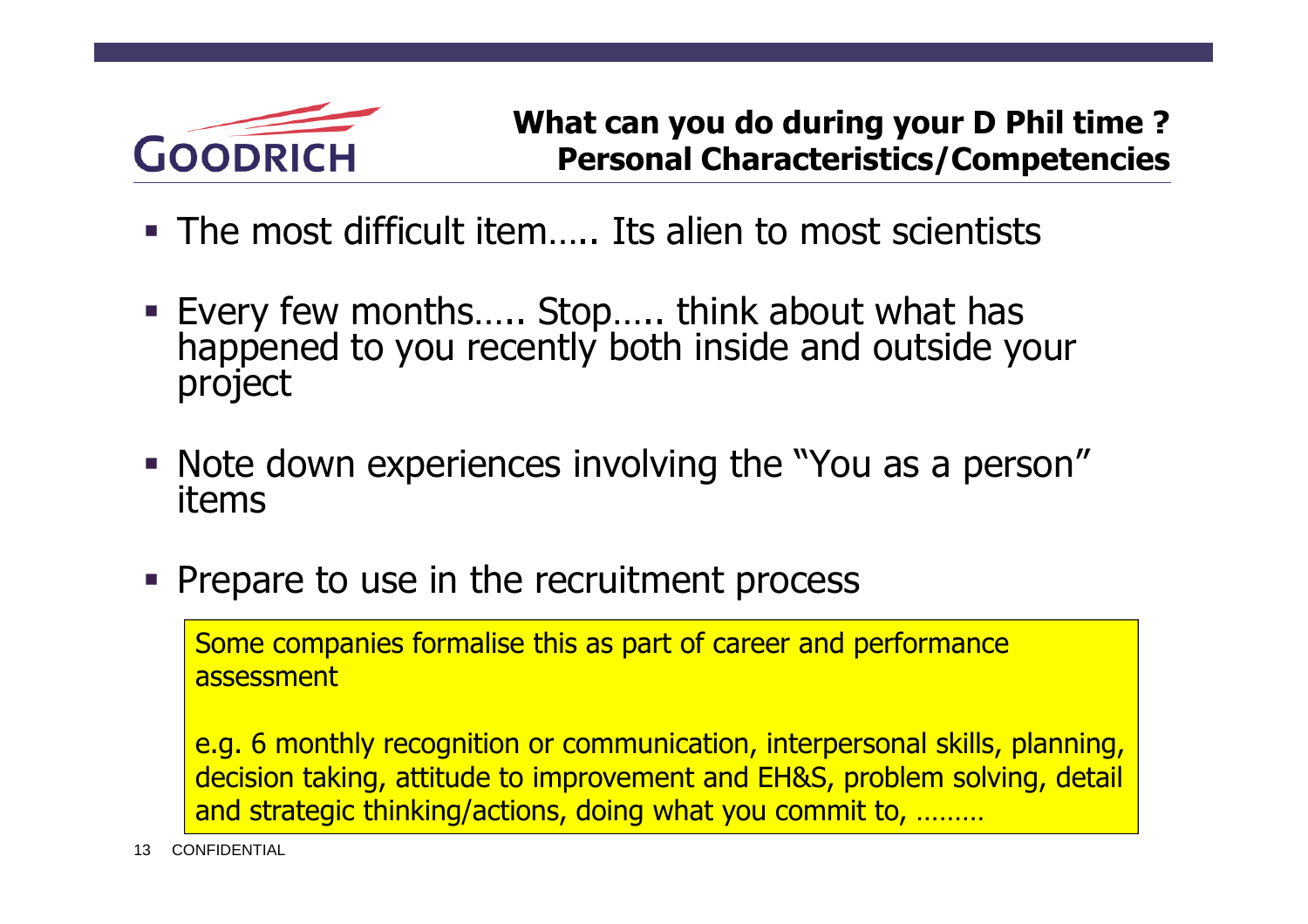

- The most difficult item….. Its alien to most scientists
- Every few months….. Stop….. think about what has happened to you recently both inside and outside your project
- Note down experiences involving the "You as a person" items
- Prepare to use in the recruitment process

Some companies formalise this as part of career and performance assessment

e.g. 6 monthly recognition or communication, interpersonal skills, planning, decision taking, attitude to improvement and EH&S, problem solving, detail and strategic thinking/actions, doing what you commit to, ………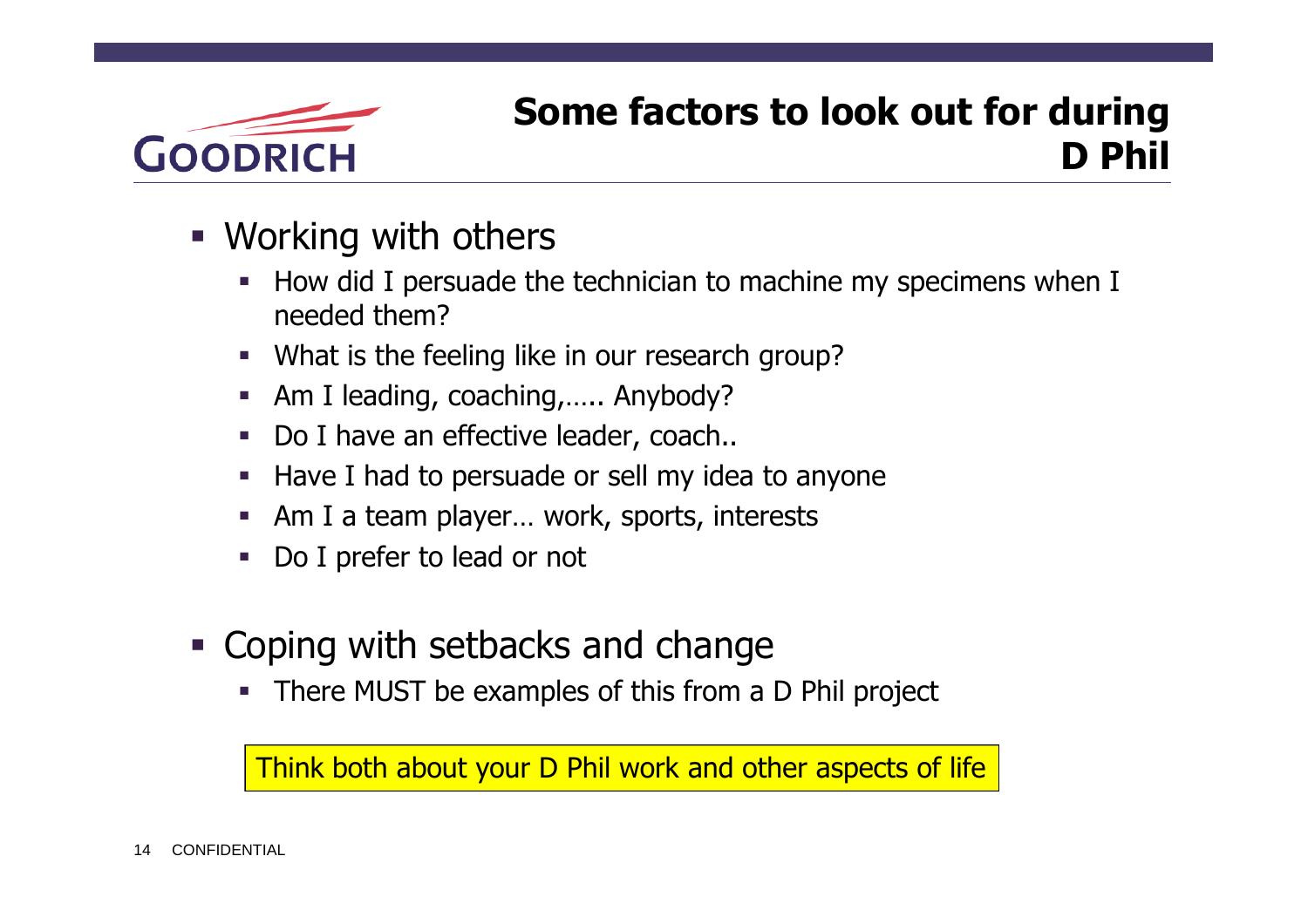

## **Some factors to look out for during D Phil**

- Working with others
	- How did I persuade the technician to machine my specimens when I needed them?
	- What is the feeling like in our research group?
	- Am I leading, coaching,….. Anybody?
	- Do I have an effective leader, coach..
	- **Have I had to persuade or sell my idea to anyone**
	- Am I a team player... work, sports, interests
	- Do I prefer to lead or not
- Coping with setbacks and change
	- There MUST be examples of this from a D Phil project

Think both about your D Phil work and other aspects of life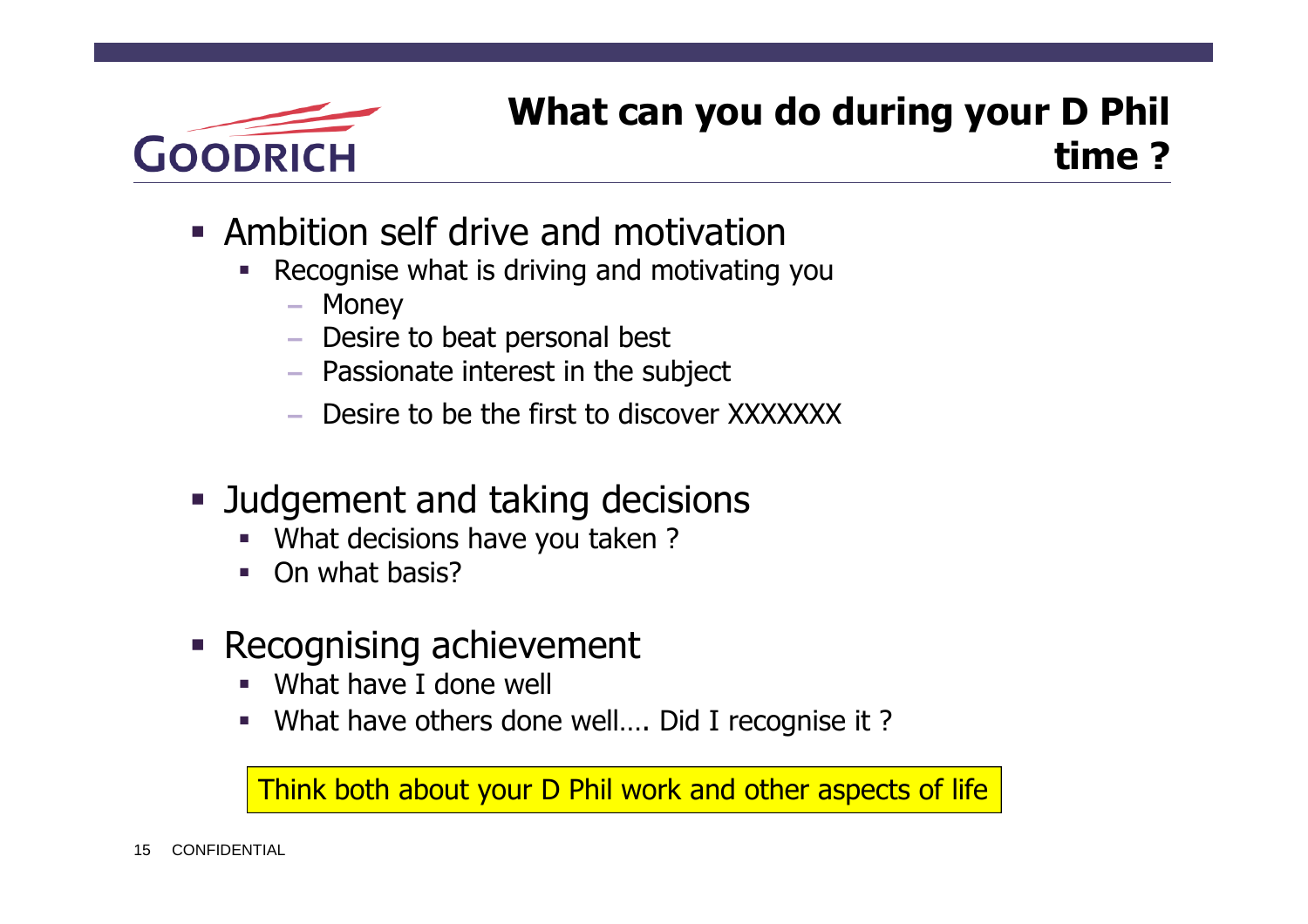

## **What can you do during your D Phil time ?**

- Ambition self drive and motivation
	- Recognise what is driving and motivating you
		- Money
		- Desire to beat personal best
		- Passionate interest in the subject
		- Desire to be the first to discover XXXXXXX
- **Judgement and taking decisions** 
	- What decisions have you taken ?
	- On what basis?
- **Recognising achievement** 
	- What have I done well
	- What have others done well…. Did I recognise it ?

Think both about your D Phil work and other aspects of life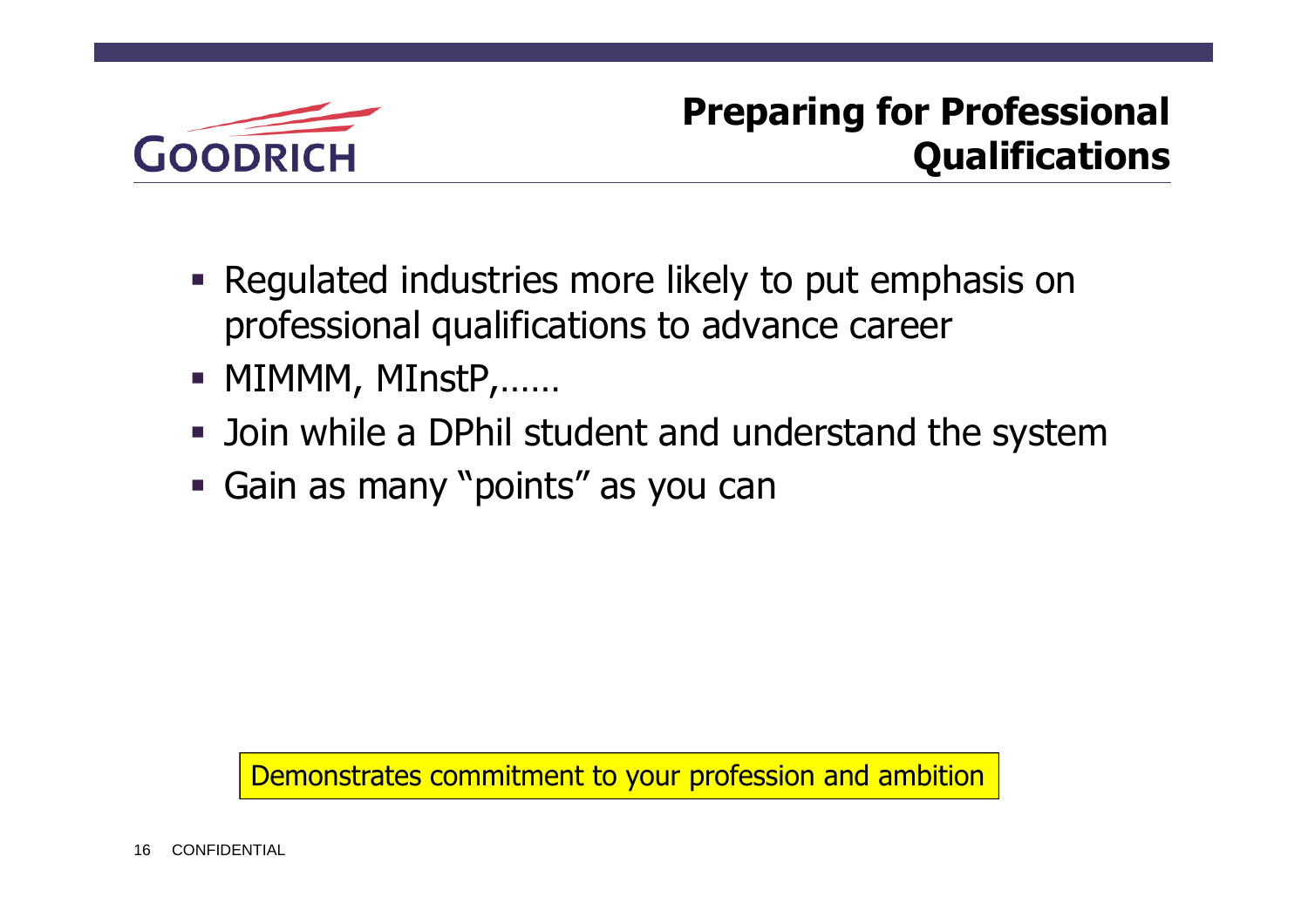

# **Preparing for Professional Qualifications**

- **Requiated industries more likely to put emphasis on** professional qualifications to advance career
- MIMMM, MInstP,......
- Join while a DPhil student and understand the system
- Gain as many "points" as you can

Demonstrates commitment to your profession and ambition